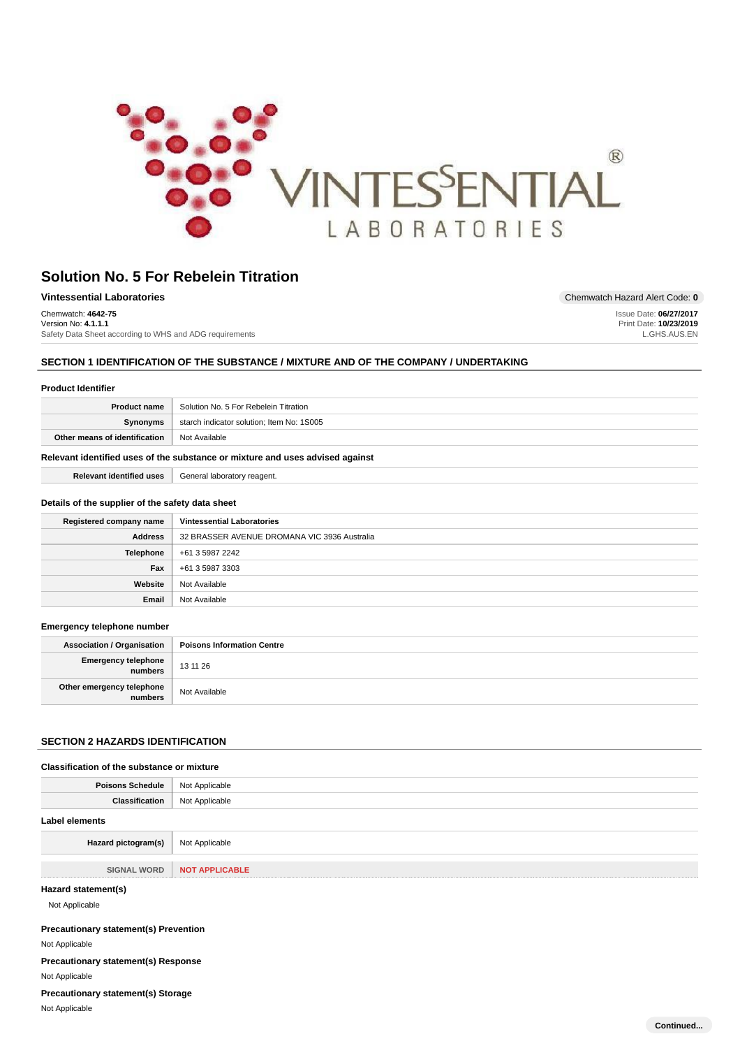

| Vintessential Laboratories                              | Chemwatch Hazard Alert Code: 0 |
|---------------------------------------------------------|--------------------------------|
| Chemwatch: 4642-75                                      | Issue Date: 06/27/2017         |
| Version No: 4.1.1.1                                     | Print Date: 10/23/2019         |
| Safety Data Sheet according to WHS and ADG requirements | L.GHS.AUS.EN                   |

# **SECTION 1 IDENTIFICATION OF THE SUBSTANCE / MIXTURE AND OF THE COMPANY / UNDERTAKING**

| <b>Product Identifier</b>                                                                                        |                                                                               |  |  |  |
|------------------------------------------------------------------------------------------------------------------|-------------------------------------------------------------------------------|--|--|--|
| <b>Product name</b>                                                                                              | Solution No. 5 For Rebelein Titration                                         |  |  |  |
| Synonyms                                                                                                         | starch indicator solution; Item No: 1S005                                     |  |  |  |
| Other means of identification                                                                                    | Not Available                                                                 |  |  |  |
|                                                                                                                  | Relevant identified uses of the substance or mixture and uses advised against |  |  |  |
| <b>Relevant identified uses</b>                                                                                  | General laboratory reagent.                                                   |  |  |  |
| Details of the supplier of the safety data sheet<br><b>Vintessential Laboratories</b><br>Registered company name |                                                                               |  |  |  |
|                                                                                                                  |                                                                               |  |  |  |
| <b>Address</b>                                                                                                   | 32 BRASSER AVENUE DROMANA VIC 3936 Australia                                  |  |  |  |
| <b>Telephone</b>                                                                                                 | +61 3 5987 2242                                                               |  |  |  |
| Fax                                                                                                              | +61 3 5987 3303                                                               |  |  |  |
| Website                                                                                                          | Not Available                                                                 |  |  |  |

### **Emergency telephone number**

| <b>Association / Organisation</b>    | <b>Poisons Information Centre</b> |
|--------------------------------------|-----------------------------------|
| Emergency telephone<br>  numbers     | 13 11 26                          |
| Other emergency telephone<br>numbers | Not Available                     |

# **SECTION 2 HAZARDS IDENTIFICATION**

#### **Classification of the substance or mixture**

| <b>Poisons Schedule</b>               | Not Applicable        |
|---------------------------------------|-----------------------|
| <b>Classification</b>                 | Not Applicable        |
| <b>Label elements</b>                 |                       |
| Hazard pictogram(s)                   | Not Applicable        |
| <b>SIGNAL WORD</b>                    | <b>NOT APPLICABLE</b> |
| Hazard statement(s)<br>Not Applicable |                       |

### **Precautionary statement(s) Prevention**

Not Applicable

**Precautionary statement(s) Response**

Not Applicable

**Precautionary statement(s) Storage**

Not Applicable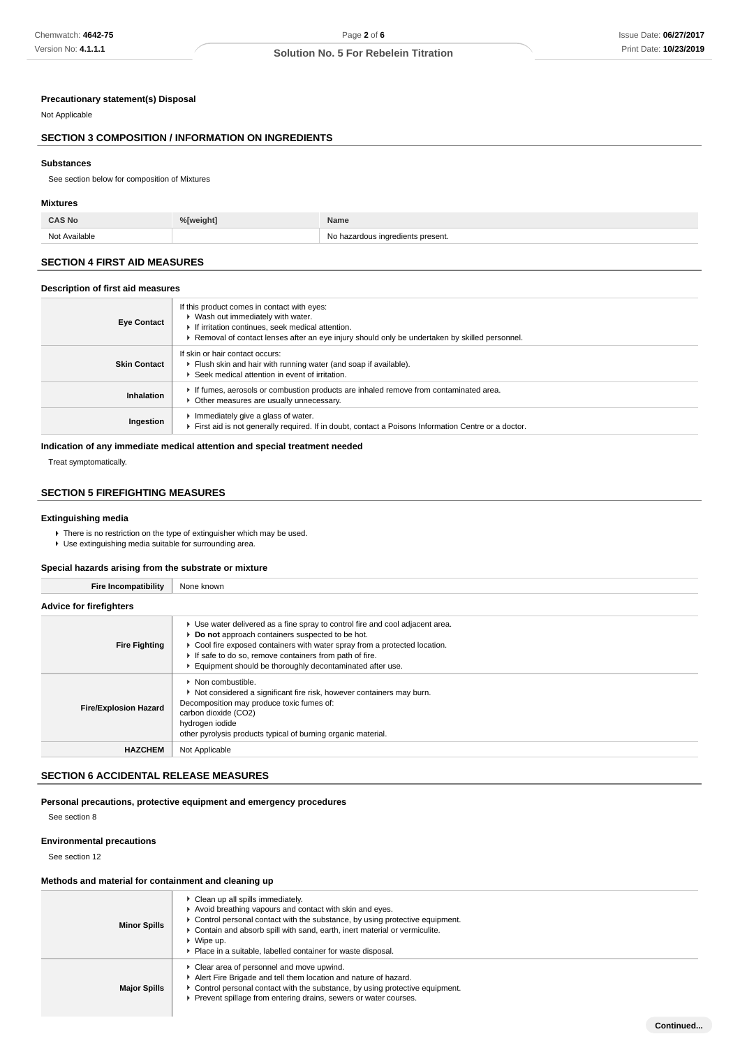### **Precautionary statement(s) Disposal**

### Not Applicable

# **SECTION 3 COMPOSITION / INFORMATION ON INGREDIENTS**

#### **Substances**

See section below for composition of Mixtures

### **Mixtures**

Not Available Not Available Not Available Not Available Not Available Not Available Not Available Not Available

# **SECTION 4 FIRST AID MEASURES**

#### **Description of first aid measures**

| <b>Eye Contact</b>  | If this product comes in contact with eyes:<br>▶ Wash out immediately with water.<br>If irritation continues, seek medical attention.<br>Removal of contact lenses after an eye injury should only be undertaken by skilled personnel. |
|---------------------|----------------------------------------------------------------------------------------------------------------------------------------------------------------------------------------------------------------------------------------|
| <b>Skin Contact</b> | If skin or hair contact occurs:<br>Flush skin and hair with running water (and soap if available).<br>Seek medical attention in event of irritation.                                                                                   |
| Inhalation          | If fumes, aerosols or combustion products are inhaled remove from contaminated area.<br>• Other measures are usually unnecessary.                                                                                                      |
| Ingestion           | Immediately give a glass of water.<br>First aid is not generally required. If in doubt, contact a Poisons Information Centre or a doctor.                                                                                              |

### **Indication of any immediate medical attention and special treatment needed**

Treat symptomatically.

### **SECTION 5 FIREFIGHTING MEASURES**

# **Extinguishing media**

 $\blacktriangleright$  There is no restriction on the type of extinguisher which may be used.

Use extinguishing media suitable for surrounding area.

### **Special hazards arising from the substrate or mixture**

**Fire Incompatibility** None known

| Fire incompatibility           | <b>NONE KNOWN</b>                                                                                                                                                                                                                                                                                                                      |  |  |  |
|--------------------------------|----------------------------------------------------------------------------------------------------------------------------------------------------------------------------------------------------------------------------------------------------------------------------------------------------------------------------------------|--|--|--|
| <b>Advice for firefighters</b> |                                                                                                                                                                                                                                                                                                                                        |  |  |  |
| <b>Fire Fighting</b>           | ► Use water delivered as a fine spray to control fire and cool adjacent area.<br>▶ Do not approach containers suspected to be hot.<br>► Cool fire exposed containers with water spray from a protected location.<br>If safe to do so, remove containers from path of fire.<br>Equipment should be thoroughly decontaminated after use. |  |  |  |
| <b>Fire/Explosion Hazard</b>   | $\blacktriangleright$ Non combustible.<br>▶ Not considered a significant fire risk, however containers may burn.<br>Decomposition may produce toxic fumes of:<br>carbon dioxide (CO2)<br>hydrogen iodide<br>other pyrolysis products typical of burning organic material.                                                              |  |  |  |
| <b>HAZCHEM</b>                 | Not Applicable                                                                                                                                                                                                                                                                                                                         |  |  |  |

### **SECTION 6 ACCIDENTAL RELEASE MEASURES**

### **Personal precautions, protective equipment and emergency procedures**

See section 8

### **Environmental precautions**

See section 12

### **Methods and material for containment and cleaning up**

| Clean up all spills immediately.<br>Avoid breathing vapours and contact with skin and eyes.<br>$\triangleright$ Control personal contact with the substance, by using protective equipment.<br><b>Minor Spills</b><br>► Contain and absorb spill with sand, earth, inert material or vermiculite.<br>▶ Wipe up.<br>Place in a suitable, labelled container for waste disposal. |                                                                                                                                                                                                                                                                                |  |  |  |
|--------------------------------------------------------------------------------------------------------------------------------------------------------------------------------------------------------------------------------------------------------------------------------------------------------------------------------------------------------------------------------|--------------------------------------------------------------------------------------------------------------------------------------------------------------------------------------------------------------------------------------------------------------------------------|--|--|--|
| <b>Major Spills</b>                                                                                                                                                                                                                                                                                                                                                            | Clear area of personnel and move upwind.<br>Alert Fire Brigade and tell them location and nature of hazard.<br>$\triangleright$ Control personal contact with the substance, by using protective equipment.<br>Prevent spillage from entering drains, sewers or water courses. |  |  |  |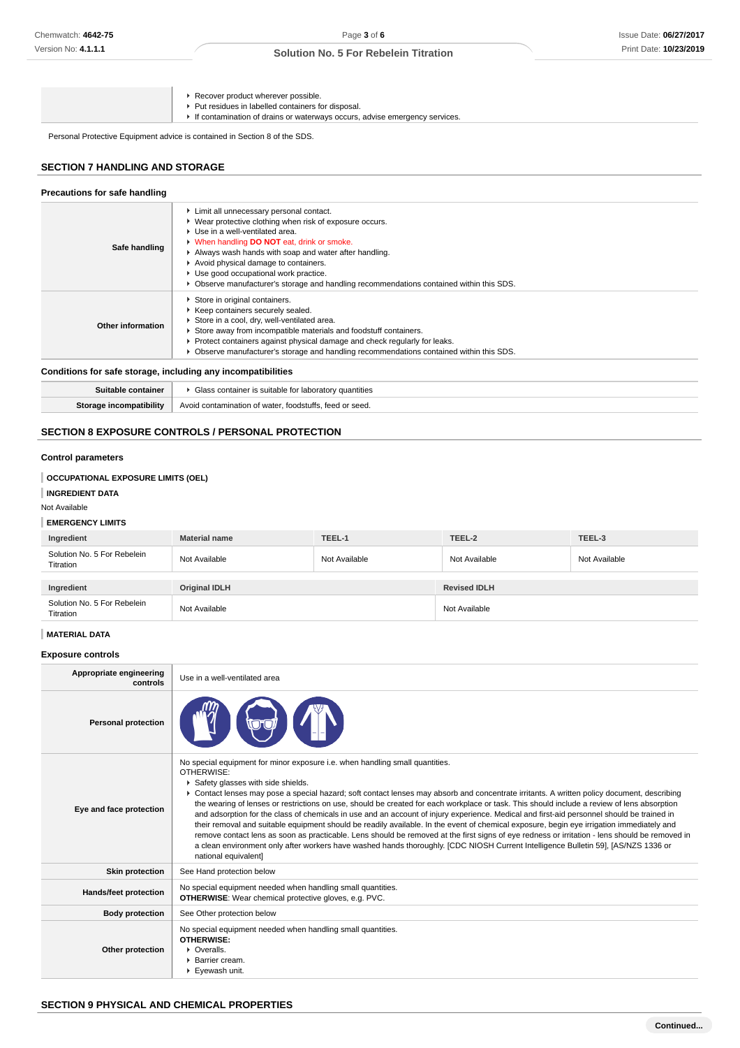|  |  | Recover product wherever possible.<br>▶ Put residues in labelled containers for disposal.<br>If contamination of drains or waterways occurs, advise emergency services. |
|--|--|-------------------------------------------------------------------------------------------------------------------------------------------------------------------------|
|--|--|-------------------------------------------------------------------------------------------------------------------------------------------------------------------------|

Personal Protective Equipment advice is contained in Section 8 of the SDS.

### **SECTION 7 HANDLING AND STORAGE**

| Precautions for safe handling                                                                                                                                                                                                                                                                                                                                                                                                                      |                                                                                                                                                                                                                                                                                                                                                                   |  |  |  |
|----------------------------------------------------------------------------------------------------------------------------------------------------------------------------------------------------------------------------------------------------------------------------------------------------------------------------------------------------------------------------------------------------------------------------------------------------|-------------------------------------------------------------------------------------------------------------------------------------------------------------------------------------------------------------------------------------------------------------------------------------------------------------------------------------------------------------------|--|--|--|
| Limit all unnecessary personal contact.<br>▶ Wear protective clothing when risk of exposure occurs.<br>Use in a well-ventilated area.<br><b>No When handling DO NOT eat, drink or smoke.</b><br>Safe handling<br>Always wash hands with soap and water after handling.<br>Avoid physical damage to containers.<br>Use good occupational work practice.<br>▶ Observe manufacturer's storage and handling recommendations contained within this SDS. |                                                                                                                                                                                                                                                                                                                                                                   |  |  |  |
| Other information                                                                                                                                                                                                                                                                                                                                                                                                                                  | Store in original containers.<br>▶ Keep containers securely sealed.<br>Store in a cool, dry, well-ventilated area.<br>Store away from incompatible materials and foodstuff containers.<br>▶ Protect containers against physical damage and check regularly for leaks.<br>▶ Observe manufacturer's storage and handling recommendations contained within this SDS. |  |  |  |
|                                                                                                                                                                                                                                                                                                                                                                                                                                                    | Conditions for safe storage, including any incompatibilities                                                                                                                                                                                                                                                                                                      |  |  |  |

### **Conditions for safe storage, including any incompatibilities**

| . container                 | Glass container is suitable for laboratory $\sim$                   |
|-----------------------------|---------------------------------------------------------------------|
| suitable c                  | <sup>,</sup> quantities                                             |
| <br>Storage incompatibility | . foodstuffs.<br>Avoid contamination of water<br>teed or seed.<br>. |

# **SECTION 8 EXPOSURE CONTROLS / PERSONAL PROTECTION**

## **Control parameters**

### **OCCUPATIONAL EXPOSURE LIMITS (OEL)**

### **INGREDIENT DATA**

### Not Available

# **EMERGENCY LIMITS**

| Ingredient                               | <b>Material name</b> | TEEL-1        | TEEL-2              | TEEL-3        |
|------------------------------------------|----------------------|---------------|---------------------|---------------|
| Solution No. 5 For Rebelein<br>Titration | Not Available        | Not Available | Not Available       | Not Available |
|                                          |                      |               |                     |               |
| Ingredient                               | Original IDLH        |               | <b>Revised IDLH</b> |               |
| Solution No. 5 For Rebelein<br>Titration | Not Available        |               | Not Available       |               |

# **MATERIAL DATA**

### **Exposure controls**

| Appropriate engineering<br>controls | Use in a well-ventilated area                                                                                                                                                                                                                                                                                                                                                                                                                                                                                                                                                                                                                                                                                                                                                                                                                                                                                                                                                                                                            |
|-------------------------------------|------------------------------------------------------------------------------------------------------------------------------------------------------------------------------------------------------------------------------------------------------------------------------------------------------------------------------------------------------------------------------------------------------------------------------------------------------------------------------------------------------------------------------------------------------------------------------------------------------------------------------------------------------------------------------------------------------------------------------------------------------------------------------------------------------------------------------------------------------------------------------------------------------------------------------------------------------------------------------------------------------------------------------------------|
| <b>Personal protection</b>          |                                                                                                                                                                                                                                                                                                                                                                                                                                                                                                                                                                                                                                                                                                                                                                                                                                                                                                                                                                                                                                          |
| Eye and face protection             | No special equipment for minor exposure i.e. when handling small quantities.<br>OTHERWISE:<br>Safety glasses with side shields.<br>► Contact lenses may pose a special hazard; soft contact lenses may absorb and concentrate irritants. A written policy document, describing<br>the wearing of lenses or restrictions on use, should be created for each workplace or task. This should include a review of lens absorption<br>and adsorption for the class of chemicals in use and an account of injury experience. Medical and first-aid personnel should be trained in<br>their removal and suitable equipment should be readily available. In the event of chemical exposure, begin eye irrigation immediately and<br>remove contact lens as soon as practicable. Lens should be removed at the first signs of eye redness or irritation - lens should be removed in<br>a clean environment only after workers have washed hands thoroughly. [CDC NIOSH Current Intelligence Bulletin 59], [AS/NZS 1336 or<br>national equivalent] |
| <b>Skin protection</b>              | See Hand protection below                                                                                                                                                                                                                                                                                                                                                                                                                                                                                                                                                                                                                                                                                                                                                                                                                                                                                                                                                                                                                |
| <b>Hands/feet protection</b>        | No special equipment needed when handling small quantities.<br><b>OTHERWISE:</b> Wear chemical protective gloves, e.g. PVC.                                                                                                                                                                                                                                                                                                                                                                                                                                                                                                                                                                                                                                                                                                                                                                                                                                                                                                              |
| <b>Body protection</b>              | See Other protection below                                                                                                                                                                                                                                                                                                                                                                                                                                                                                                                                                                                                                                                                                                                                                                                                                                                                                                                                                                                                               |
| Other protection                    | No special equipment needed when handling small quantities.<br><b>OTHERWISE:</b><br>• Overalls.<br>▶ Barrier cream.<br>Eyewash unit.                                                                                                                                                                                                                                                                                                                                                                                                                                                                                                                                                                                                                                                                                                                                                                                                                                                                                                     |

# **SECTION 9 PHYSICAL AND CHEMICAL PROPERTIES**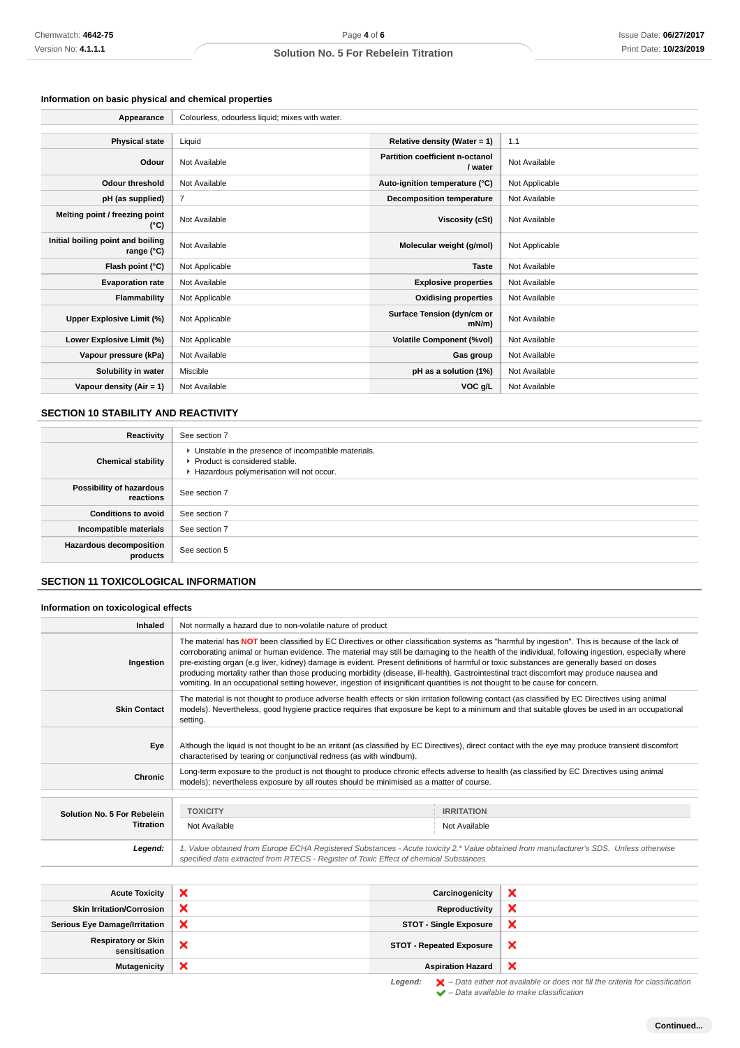# **Information on basic physical and chemical properties**

| Chemwatch: 4642-75                                    | Page 4 of 6                                                                                                                                                                                                                                                                                                                                                                                                                                                                                                                                                                                                                                                                                                                   |                                            | Issue Date: 06/27/201 |
|-------------------------------------------------------|-------------------------------------------------------------------------------------------------------------------------------------------------------------------------------------------------------------------------------------------------------------------------------------------------------------------------------------------------------------------------------------------------------------------------------------------------------------------------------------------------------------------------------------------------------------------------------------------------------------------------------------------------------------------------------------------------------------------------------|--------------------------------------------|-----------------------|
| Version No: 4.1.1.1                                   | Solution No. 5 For Rebelein Titration                                                                                                                                                                                                                                                                                                                                                                                                                                                                                                                                                                                                                                                                                         |                                            | Print Date: 10/23/201 |
|                                                       |                                                                                                                                                                                                                                                                                                                                                                                                                                                                                                                                                                                                                                                                                                                               |                                            |                       |
|                                                       |                                                                                                                                                                                                                                                                                                                                                                                                                                                                                                                                                                                                                                                                                                                               |                                            |                       |
| Information on basic physical and chemical properties |                                                                                                                                                                                                                                                                                                                                                                                                                                                                                                                                                                                                                                                                                                                               |                                            |                       |
| Appearance                                            | Colourless, odourless liquid; mixes with water.                                                                                                                                                                                                                                                                                                                                                                                                                                                                                                                                                                                                                                                                               |                                            |                       |
| <b>Physical state</b>                                 | Liquid                                                                                                                                                                                                                                                                                                                                                                                                                                                                                                                                                                                                                                                                                                                        | Relative density (Water = 1)               | 1.1                   |
| Odour                                                 | Not Available                                                                                                                                                                                                                                                                                                                                                                                                                                                                                                                                                                                                                                                                                                                 | Partition coefficient n-octanol<br>/ water | Not Available         |
| <b>Odour threshold</b>                                | Not Available                                                                                                                                                                                                                                                                                                                                                                                                                                                                                                                                                                                                                                                                                                                 | Auto-ignition temperature (°C)             | Not Applicable        |
| pH (as supplied)                                      | $\overline{7}$                                                                                                                                                                                                                                                                                                                                                                                                                                                                                                                                                                                                                                                                                                                | <b>Decomposition temperature</b>           | Not Available         |
| Melting point / freezing point<br>$(^{\circ}C)$       | Not Available                                                                                                                                                                                                                                                                                                                                                                                                                                                                                                                                                                                                                                                                                                                 | <b>Viscosity (cSt)</b>                     | Not Available         |
| Initial boiling point and boiling<br>range (°C)       | Not Available                                                                                                                                                                                                                                                                                                                                                                                                                                                                                                                                                                                                                                                                                                                 | Molecular weight (g/mol)                   | Not Applicable        |
| Flash point (°C)                                      | Not Applicable                                                                                                                                                                                                                                                                                                                                                                                                                                                                                                                                                                                                                                                                                                                | <b>Taste</b>                               | Not Available         |
| <b>Evaporation rate</b>                               | Not Available                                                                                                                                                                                                                                                                                                                                                                                                                                                                                                                                                                                                                                                                                                                 | <b>Explosive properties</b>                | Not Available         |
| Flammability                                          | Not Applicable                                                                                                                                                                                                                                                                                                                                                                                                                                                                                                                                                                                                                                                                                                                | <b>Oxidising properties</b>                | Not Available         |
| Upper Explosive Limit (%)                             | Not Applicable                                                                                                                                                                                                                                                                                                                                                                                                                                                                                                                                                                                                                                                                                                                | Surface Tension (dyn/cm or<br>mN/m)        | Not Available         |
| Lower Explosive Limit (%)                             | Not Applicable                                                                                                                                                                                                                                                                                                                                                                                                                                                                                                                                                                                                                                                                                                                | <b>Volatile Component (%vol)</b>           | Not Available         |
| Vapour pressure (kPa)                                 | Not Available                                                                                                                                                                                                                                                                                                                                                                                                                                                                                                                                                                                                                                                                                                                 | Gas group                                  | Not Available         |
| Solubility in water                                   | Miscible                                                                                                                                                                                                                                                                                                                                                                                                                                                                                                                                                                                                                                                                                                                      | pH as a solution (1%)                      | Not Available         |
| Vapour density (Air = $1$ )                           | Not Available                                                                                                                                                                                                                                                                                                                                                                                                                                                                                                                                                                                                                                                                                                                 | VOC g/L                                    | Not Available         |
|                                                       |                                                                                                                                                                                                                                                                                                                                                                                                                                                                                                                                                                                                                                                                                                                               |                                            |                       |
| SECTION 10 STABILITY AND REACTIVITY                   |                                                                                                                                                                                                                                                                                                                                                                                                                                                                                                                                                                                                                                                                                                                               |                                            |                       |
| Reactivity                                            | See section 7                                                                                                                                                                                                                                                                                                                                                                                                                                                                                                                                                                                                                                                                                                                 |                                            |                       |
| <b>Chemical stability</b>                             | • Unstable in the presence of incompatible materials.<br>Product is considered stable.<br>Hazardous polymerisation will not occur.                                                                                                                                                                                                                                                                                                                                                                                                                                                                                                                                                                                            |                                            |                       |
| Possibility of hazardous<br>reactions                 | See section 7                                                                                                                                                                                                                                                                                                                                                                                                                                                                                                                                                                                                                                                                                                                 |                                            |                       |
| <b>Conditions to avoid</b>                            | See section 7                                                                                                                                                                                                                                                                                                                                                                                                                                                                                                                                                                                                                                                                                                                 |                                            |                       |
| Incompatible materials                                | See section 7                                                                                                                                                                                                                                                                                                                                                                                                                                                                                                                                                                                                                                                                                                                 |                                            |                       |
| Hazardous decomposition<br>products                   | See section 5                                                                                                                                                                                                                                                                                                                                                                                                                                                                                                                                                                                                                                                                                                                 |                                            |                       |
| <b>SECTION 11 TOXICOLOGICAL INFORMATION</b>           |                                                                                                                                                                                                                                                                                                                                                                                                                                                                                                                                                                                                                                                                                                                               |                                            |                       |
| Information on toxicological effects                  |                                                                                                                                                                                                                                                                                                                                                                                                                                                                                                                                                                                                                                                                                                                               |                                            |                       |
| Inhaled                                               | Not normally a hazard due to non-volatile nature of product                                                                                                                                                                                                                                                                                                                                                                                                                                                                                                                                                                                                                                                                   |                                            |                       |
| Ingestion                                             | The material has NOT been classified by EC Directives or other classification systems as "harmful by ingestion". This is because of the lack of<br>corroborating animal or human evidence. The material may still be damaging to the health of the individual, following ingestion, especially where<br>pre-existing organ (e.g liver, kidney) damage is evident. Present definitions of harmful or toxic substances are generally based on doses<br>producing mortality rather than those producing morbidity (disease, ill-health). Gastrointestinal tract discomfort may produce nausea and<br>vomiting. In an occupational setting however, ingestion of insignificant quantities is not thought to be cause for concern. |                                            |                       |
| <b>Skin Contact</b>                                   | The material is not thought to produce adverse health effects or skin irritation following contact (as classified by EC Directives using animal<br>models). Nevertheless, good hygiene practice requires that exposure be kept to a minimum and that suitable gloves be used in an occupational<br>setting.                                                                                                                                                                                                                                                                                                                                                                                                                   |                                            |                       |
| Eye                                                   | Although the liquid is not thought to be an irritant (as classified by EC Directives), direct contact with the eye may produce transient discomfort<br>characterised by tearing or conjunctival redness (as with windburn).                                                                                                                                                                                                                                                                                                                                                                                                                                                                                                   |                                            |                       |
| Chronic                                               | Long-term exposure to the product is not thought to produce chronic effects adverse to health (as classified by EC Directives using animal<br>models); nevertheless exposure by all routes should be minimised as a matter of course.                                                                                                                                                                                                                                                                                                                                                                                                                                                                                         |                                            |                       |
|                                                       |                                                                                                                                                                                                                                                                                                                                                                                                                                                                                                                                                                                                                                                                                                                               |                                            |                       |
| Solution No. 5 For Rebelein<br><b>Titration</b>       | <b>TOXICITY</b>                                                                                                                                                                                                                                                                                                                                                                                                                                                                                                                                                                                                                                                                                                               | <b>IRRITATION</b>                          |                       |
| Legend:                                               | Not Available<br>Not Available<br>1. Value obtained from Europe ECHA Registered Substances - Acute toxicity 2.* Value obtained from manufacturer's SDS. Unless otherwise                                                                                                                                                                                                                                                                                                                                                                                                                                                                                                                                                      |                                            |                       |
|                                                       | specified data extracted from RTECS - Register of Toxic Effect of chemical Substances                                                                                                                                                                                                                                                                                                                                                                                                                                                                                                                                                                                                                                         |                                            |                       |
|                                                       |                                                                                                                                                                                                                                                                                                                                                                                                                                                                                                                                                                                                                                                                                                                               |                                            |                       |
| <b>Acute Toxicity</b>                                 | ×                                                                                                                                                                                                                                                                                                                                                                                                                                                                                                                                                                                                                                                                                                                             | Carcinogenicity                            | ×                     |
| <b>Skin Irritation/Corrosion</b>                      | ×                                                                                                                                                                                                                                                                                                                                                                                                                                                                                                                                                                                                                                                                                                                             | <b>Reproductivity</b>                      | ×                     |
| <b>Serious Eye Damage/Irritation</b>                  | ×                                                                                                                                                                                                                                                                                                                                                                                                                                                                                                                                                                                                                                                                                                                             | <b>STOT - Single Exposure</b>              | ×                     |
| <b>Respiratory or Skin</b><br>sensitisation           | ×                                                                                                                                                                                                                                                                                                                                                                                                                                                                                                                                                                                                                                                                                                                             | <b>STOT - Repeated Exposure</b>            | ×                     |
| <b>Mutagenicity</b>                                   | ×                                                                                                                                                                                                                                                                                                                                                                                                                                                                                                                                                                                                                                                                                                                             | <b>Aspiration Hazard</b>                   | ×                     |

# **SECTION 10 STABILITY AND REACTIVITY**

| Reactivity                                 | See section 7                                                                                                                        |
|--------------------------------------------|--------------------------------------------------------------------------------------------------------------------------------------|
| <b>Chemical stability</b>                  | • Unstable in the presence of incompatible materials.<br>▶ Product is considered stable.<br>Hazardous polymerisation will not occur. |
| Possibility of hazardous<br>reactions      | See section 7                                                                                                                        |
| <b>Conditions to avoid</b>                 | See section 7                                                                                                                        |
| Incompatible materials                     | See section 7                                                                                                                        |
| <b>Hazardous decomposition</b><br>products | See section 5                                                                                                                        |

# **SECTION 11 TOXICOLOGICAL INFORMATION**

### **Information on toxicological effects**

| Inhaled                     | Not normally a hazard due to non-volatile nature of product                                                                                                                                                                                                                                                                                                                                                                                                                                                                                                                                                                                                                                                                   |                   |  |
|-----------------------------|-------------------------------------------------------------------------------------------------------------------------------------------------------------------------------------------------------------------------------------------------------------------------------------------------------------------------------------------------------------------------------------------------------------------------------------------------------------------------------------------------------------------------------------------------------------------------------------------------------------------------------------------------------------------------------------------------------------------------------|-------------------|--|
| Ingestion                   | The material has NOT been classified by EC Directives or other classification systems as "harmful by ingestion". This is because of the lack of<br>corroborating animal or human evidence. The material may still be damaging to the health of the individual, following ingestion, especially where<br>pre-existing organ (e.g liver, kidney) damage is evident. Present definitions of harmful or toxic substances are generally based on doses<br>producing mortality rather than those producing morbidity (disease, ill-health). Gastrointestinal tract discomfort may produce nausea and<br>vomiting. In an occupational setting however, ingestion of insignificant quantities is not thought to be cause for concern. |                   |  |
| <b>Skin Contact</b>         | The material is not thought to produce adverse health effects or skin irritation following contact (as classified by EC Directives using animal<br>models). Nevertheless, good hygiene practice requires that exposure be kept to a minimum and that suitable gloves be used in an occupational<br>setting.                                                                                                                                                                                                                                                                                                                                                                                                                   |                   |  |
| Eye                         | Although the liquid is not thought to be an irritant (as classified by EC Directives), direct contact with the eye may produce transient discomfort<br>characterised by tearing or conjunctival redness (as with windburn).                                                                                                                                                                                                                                                                                                                                                                                                                                                                                                   |                   |  |
| <b>Chronic</b>              | Long-term exposure to the product is not thought to produce chronic effects adverse to health (as classified by EC Directives using animal<br>models); nevertheless exposure by all routes should be minimised as a matter of course.                                                                                                                                                                                                                                                                                                                                                                                                                                                                                         |                   |  |
|                             |                                                                                                                                                                                                                                                                                                                                                                                                                                                                                                                                                                                                                                                                                                                               |                   |  |
| Solution No. 5 For Rebelein | <b>TOXICITY</b>                                                                                                                                                                                                                                                                                                                                                                                                                                                                                                                                                                                                                                                                                                               | <b>IRRITATION</b> |  |
| <b>Titration</b>            | Not Available                                                                                                                                                                                                                                                                                                                                                                                                                                                                                                                                                                                                                                                                                                                 | Not Available     |  |
| Legend:                     | 1. Value obtained from Europe ECHA Registered Substances - Acute toxicity 2.* Value obtained from manufacturer's SDS. Unless otherwise<br>specified data extracted from RTECS - Register of Toxic Effect of chemical Substances                                                                                                                                                                                                                                                                                                                                                                                                                                                                                               |                   |  |
|                             | .                                                                                                                                                                                                                                                                                                                                                                                                                                                                                                                                                                                                                                                                                                                             | .                 |  |

| <b>Acute Toxicity</b>                       |   | Carcinogenicity                 | ×                                                                                                  |
|---------------------------------------------|---|---------------------------------|----------------------------------------------------------------------------------------------------|
| <b>Skin Irritation/Corrosion</b>            | × | Reproductivity                  | ×                                                                                                  |
| <b>Serious Eye Damage/Irritation</b>        | × | <b>STOT - Single Exposure</b>   | ×                                                                                                  |
| <b>Respiratory or Skin</b><br>sensitisation | ↗ | <b>STOT - Repeated Exposure</b> | ×                                                                                                  |
| <b>Mutagenicity</b>                         | × | <b>Aspiration Hazard</b>        | $\boldsymbol{\times}$                                                                              |
|                                             |   | Legend:                         | $\blacktriangleright$ - Data either not available or does not fill the criteria for classification |

– Data available to make classification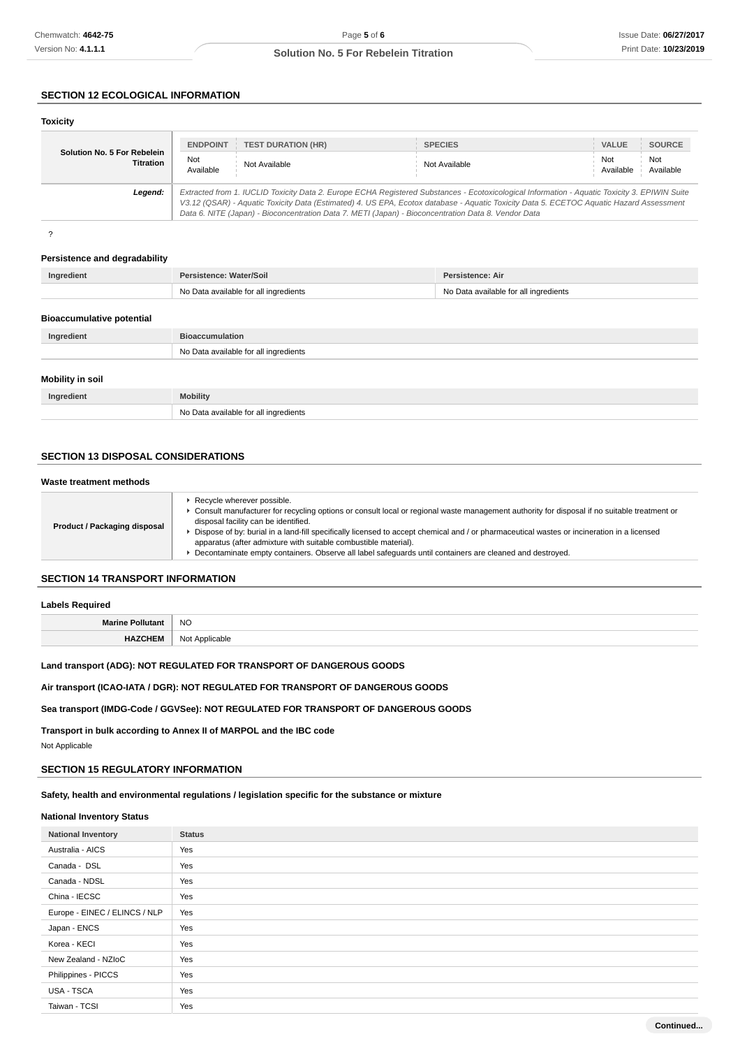# **SECTION 12 ECOLOGICAL INFORMATION**

| <b>Toxicity</b>                                 |                                                                                                                                                                                                                                                                                                                                                                                                 |                           |                |                                      |
|-------------------------------------------------|-------------------------------------------------------------------------------------------------------------------------------------------------------------------------------------------------------------------------------------------------------------------------------------------------------------------------------------------------------------------------------------------------|---------------------------|----------------|--------------------------------------|
|                                                 | <b>ENDPOINT</b>                                                                                                                                                                                                                                                                                                                                                                                 | <b>TEST DURATION (HR)</b> | <b>SPECIES</b> | <b>VALUE</b><br><b>SOURCE</b>        |
| Solution No. 5 For Rebelein<br><b>Titration</b> | Not<br>Available                                                                                                                                                                                                                                                                                                                                                                                | Not Available             | Not Available  | Not<br>Not<br>Available<br>Available |
| Legend:                                         | Extracted from 1. IUCLID Toxicity Data 2. Europe ECHA Registered Substances - Ecotoxicological Information - Aquatic Toxicity 3. EPIWIN Suite<br>V3.12 (QSAR) - Aquatic Toxicity Data (Estimated) 4. US EPA, Ecotox database - Aquatic Toxicity Data 5. ECETOC Aquatic Hazard Assessment<br>Data 6. NITE (Japan) - Bioconcentration Data 7. METI (Japan) - Bioconcentration Data 8. Vendor Data |                           |                |                                      |

?

#### **Persistence and degradability**

| Ingredient | Persistence: Water/Soil               | Persistence: Air                      |
|------------|---------------------------------------|---------------------------------------|
|            | No Data available for all ingredients | No Data available for all ingredients |
|            |                                       |                                       |

# **Bioaccumulative potential**

| Ingredient              | <b>Bioaccumulation</b>                |
|-------------------------|---------------------------------------|
|                         | No Data available for all ingredients |
| <b>Mobility in soil</b> |                                       |
| Ingredient              | <b>Mobility</b>                       |
|                         | No Data available for all ingredients |

# **SECTION 13 DISPOSAL CONSIDERATIONS**

## **Waste treatment methods**

|  | Product / Packaging disposal | Recycle wherever possible.<br>Consult manufacturer for recycling options or consult local or regional waste management authority for disposal if no suitable treatment or<br>disposal facility can be identified.<br>Dispose of by: burial in a land-fill specifically licensed to accept chemical and / or pharmaceutical wastes or incineration in a licensed<br>apparatus (after admixture with suitable combustible material).<br>Decontaminate empty containers. Observe all label safeguards until containers are cleaned and destroyed. |
|--|------------------------------|------------------------------------------------------------------------------------------------------------------------------------------------------------------------------------------------------------------------------------------------------------------------------------------------------------------------------------------------------------------------------------------------------------------------------------------------------------------------------------------------------------------------------------------------|
|--|------------------------------|------------------------------------------------------------------------------------------------------------------------------------------------------------------------------------------------------------------------------------------------------------------------------------------------------------------------------------------------------------------------------------------------------------------------------------------------------------------------------------------------------------------------------------------------|

# **SECTION 14 TRANSPORT INFORMATION**

### **Labels Required**

| M. | NO     |
|----|--------|
|    | <br>__ |

# **Land transport (ADG): NOT REGULATED FOR TRANSPORT OF DANGEROUS GOODS**

# **Air transport (ICAO-IATA / DGR): NOT REGULATED FOR TRANSPORT OF DANGEROUS GOODS**

### **Sea transport (IMDG-Code / GGVSee): NOT REGULATED FOR TRANSPORT OF DANGEROUS GOODS**

**Transport in bulk according to Annex II of MARPOL and the IBC code**

Not Applicable

# **SECTION 15 REGULATORY INFORMATION**

# **Safety, health and environmental regulations / legislation specific for the substance or mixture**

#### **National Inventory Status**

| <b>National Inventory</b>     | <b>Status</b> |
|-------------------------------|---------------|
| Australia - AICS              | Yes           |
| Canada - DSL                  | Yes           |
| Canada - NDSL                 | Yes           |
| China - IECSC                 | Yes           |
| Europe - EINEC / ELINCS / NLP | Yes           |
| Japan - ENCS                  | Yes           |
| Korea - KECI                  | Yes           |
| New Zealand - NZIoC           | Yes           |
| Philippines - PICCS           | Yes           |
| USA - TSCA                    | Yes           |
| Taiwan - TCSI                 | Yes           |